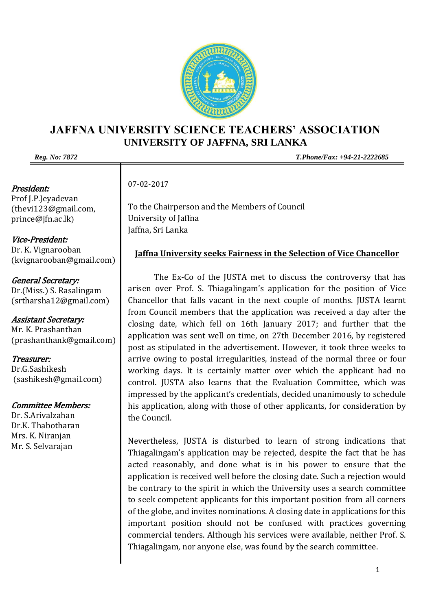

## **JAFFNA UNIVERSITY SCIENCE TEACHERS' ASSOCIATION UNIVERSITY OF JAFFNA, SRI LANKA**

## President:

Prof J.P.Jeyadevan [\(thevi123@gmail.com,](mailto:thevi123@gmail.com)  prince@jfn.ac.lk)

Vice-President: Dr. K. Vignarooban (kvignarooban@gmail.com)

General Secretary: Dr.(Miss.) S. Rasalingam [\(srtharsha12@gmail.com\)](mailto:srtharsha12@gmail.com)

Assistant Secretary: Mr. K. Prashanthan (prashanthank@gmail.com)

Treasurer: Dr.G.Sashikesh [\(sashikesh@gmail.com\)](mailto:sashikesh@gmail.com)

## Committee Members:

Dr. S.Arivalzahan Dr.K. Thabotharan Mrs. K. Niranjan Mr. S. Selvarajan

*Reg. No: 7872 T.Phone/Fax: +94-21-2222685*

07-02-2017

To the Chairperson and the Members of Council University of Jaffna Jaffna, Sri Lanka

## **Jaffna University seeks Fairness in the Selection of Vice Chancellor**

The Ex-Co of the JUSTA met to discuss the controversy that has arisen over Prof. S. Thiagalingam's application for the position of Vice Chancellor that falls vacant in the next couple of months. JUSTA learnt from Council members that the application was received a day after the closing date, which fell on 16th January 2017; and further that the application was sent well on time, on 27th December 2016, by registered post as stipulated in the advertisement. However, it took three weeks to arrive owing to postal irregularities, instead of the normal three or four working days. It is certainly matter over which the applicant had no control. JUSTA also learns that the Evaluation Committee, which was impressed by the applicant's credentials, decided unanimously to schedule his application, along with those of other applicants, for consideration by the Council.

Nevertheless, JUSTA is disturbed to learn of strong indications that Thiagalingam's application may be rejected, despite the fact that he has acted reasonably, and done what is in his power to ensure that the application is received well before the closing date. Such a rejection would be contrary to the spirit in which the University uses a search committee to seek competent applicants for this important position from all corners of the globe, and invites nominations. A closing date in applications for this important position should not be confused with practices governing commercial tenders. Although his services were available, neither Prof. S. Thiagalingam, nor anyone else, was found by the search committee.